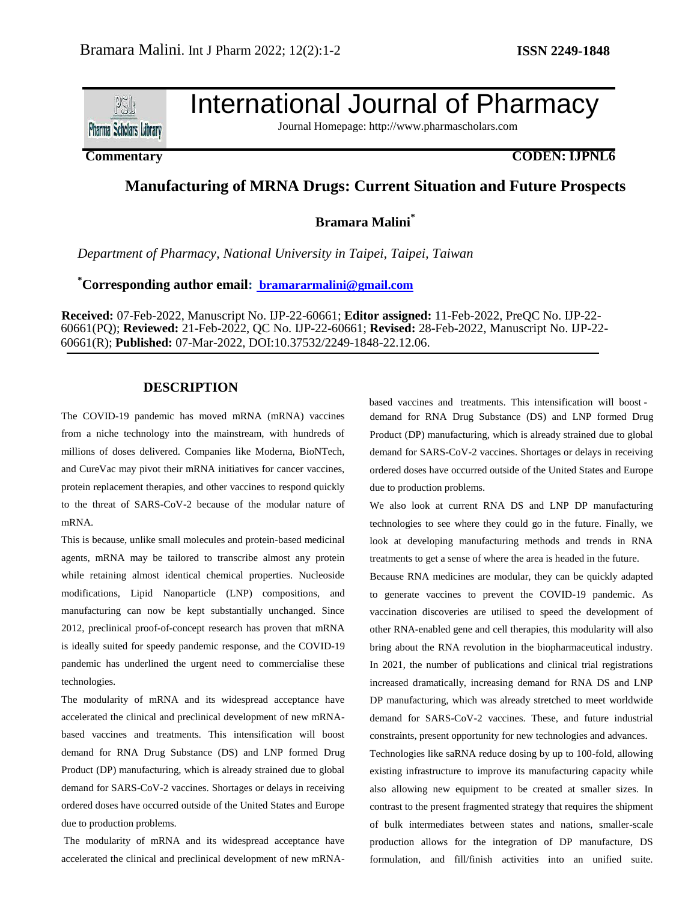

# International Journal of Pharmacy

Journal Homepage: [http://www.pharmascholars.com](http://www.pharmascholars.com/)

## **Commentary CODEN: IJPNL6**

# **Manufacturing of MRNA Drugs: Current Situation and Future Prospects**

**Bramara Malini\***

*Department of Pharmacy, National University in Taipei, Taipei, Taiwan*

**\*Corresponding author email: [bramararmalini@gmail.com](mailto:%20bramararmalini@gmail.com)**

**Received:** 07-Feb-2022, Manuscript No. IJP-22-60661; **Editor assigned:** 11-Feb-2022, PreQC No. IJP-22- 60661(PQ); **Reviewed:** 21-Feb-2022, QC No. IJP-22-60661; **Revised:** 28-Feb-2022, Manuscript No. IJP-22- 60661(R); **Published:** 07-Mar-2022, DOI:10.37532/2249-1848-22.12.06.

### **DESCRIPTION**

The COVID-19 pandemic has moved mRNA (mRNA) vaccines from a niche technology into the mainstream, with hundreds of millions of doses delivered. Companies like Moderna, BioNTech, and CureVac may pivot their mRNA initiatives for cancer vaccines, protein replacement therapies, and other vaccines to respond quickly to the threat of SARS-CoV-2 because of the modular nature of mRNA.

This is because, unlike small molecules and protein-based medicinal agents, mRNA may be tailored to transcribe almost any protein while retaining almost identical chemical properties. Nucleoside modifications, Lipid Nanoparticle (LNP) compositions, and manufacturing can now be kept substantially unchanged. Since 2012, preclinical proof-of-concept research has proven that mRNA is ideally suited for speedy pandemic response, and the COVID-19 pandemic has underlined the urgent need to commercialise these technologies.

The modularity of mRNA and its widespread acceptance have accelerated the clinical and preclinical development of new mRNAbased vaccines and treatments. This intensification will boost demand for RNA Drug Substance (DS) and LNP formed Drug Product (DP) manufacturing, which is already strained due to global demand for SARS-CoV-2 vaccines. Shortages or delays in receiving ordered doses have occurred outside of the United States and Europe due to production problems.

The modularity of mRNA and its widespread acceptance have accelerated the clinical and preclinical development of new mRNA- demand for RNA Drug Substance (DS) and LNP formed Drug Product (DP) manufacturing, which is already strained due to global demand for SARS-CoV-2 vaccines. Shortages or delays in receiving ordered doses have occurred outside of the United States and Europe due to production problems. based vaccines and treatments. This intensification will boost -

We also look at current RNA DS and LNP DP manufacturing technologies to see where they could go in the future. Finally, we look at developing manufacturing methods and trends in RNA treatments to get a sense of where the area is headed in the future.

Because RNA medicines are modular, they can be quickly adapted to generate vaccines to prevent the COVID-19 pandemic. As vaccination discoveries are utilised to speed the development of other RNA-enabled gene and cell therapies, this modularity will also bring about the RNA revolution in the biopharmaceutical industry. In 2021, the number of publications and clinical trial registrations increased dramatically, increasing demand for RNA DS and LNP DP manufacturing, which was already stretched to meet worldwide demand for SARS-CoV-2 vaccines. These, and future industrial constraints, present opportunity for new technologies and advances. Technologies like saRNA reduce dosing by up to 100-fold, allowing existing infrastructure to improve its manufacturing capacity while also allowing new equipment to be created at smaller sizes. In contrast to the present fragmented strategy that requires the shipment of bulk intermediates between states and nations, smaller-scale production allows for the integration of DP manufacture, DS formulation, and fill/finish activities into an unified suite.